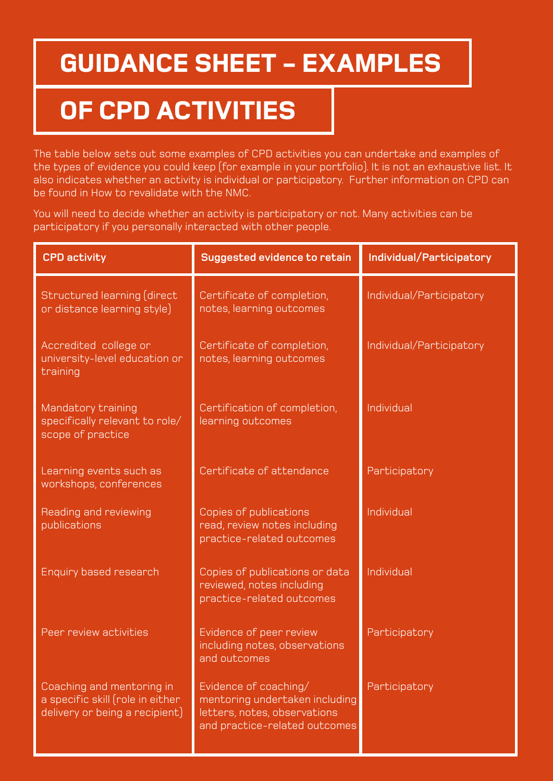## **GUIDANCE SHEET - EXAMPLES**

## **OF CPD ACTIVITIES**

The table below sets out some examples of CPD activities you can undertake and examples of the types of evidence you could keep (for example in your portfolio). It is not an exhaustive list. It also indicates whether an activity is individual or participatory. Further information on CPD can be found in How to revalidate with the NMC.

You will need to decide whether an activity is participatory or not. Many activities can be participatory if you personally interacted with other people.

| <b>CPD activity</b>                                                                             | Suggested evidence to retain                                                                                             | Individual/Participatory |
|-------------------------------------------------------------------------------------------------|--------------------------------------------------------------------------------------------------------------------------|--------------------------|
| Structured learning (direct<br>or distance learning style)                                      | Certificate of completion,<br>notes, learning outcomes                                                                   | Individual/Participatory |
| Accredited college or<br>university-level education or<br>training                              | Certificate of completion,<br>notes, learning outcomes                                                                   | Individual/Participatory |
| Mandatory training<br>specifically relevant to role/<br>scope of practice                       | Certification of completion,<br>learning outcomes                                                                        | Individual               |
| Learning events such as<br>workshops, conferences                                               | Certificate of attendance                                                                                                | Participatory            |
| Reading and reviewing<br>publications                                                           | Copies of publications<br>read, review notes including<br>practice-related outcomes                                      | Individual               |
| <b>Enquiry based research</b>                                                                   | Copies of publications or data<br>reviewed, notes including<br>practice-related outcomes                                 | Individual               |
| Peer review activities                                                                          | Evidence of peer review<br>including notes, observations<br>and outcomes                                                 | Participatory            |
| Coaching and mentoring in<br>a specific skill (role in either<br>delivery or being a recipient) | Evidence of coaching/<br>mentoring undertaken including<br>letters, notes, observations<br>and practice-related outcomes | Participatory            |